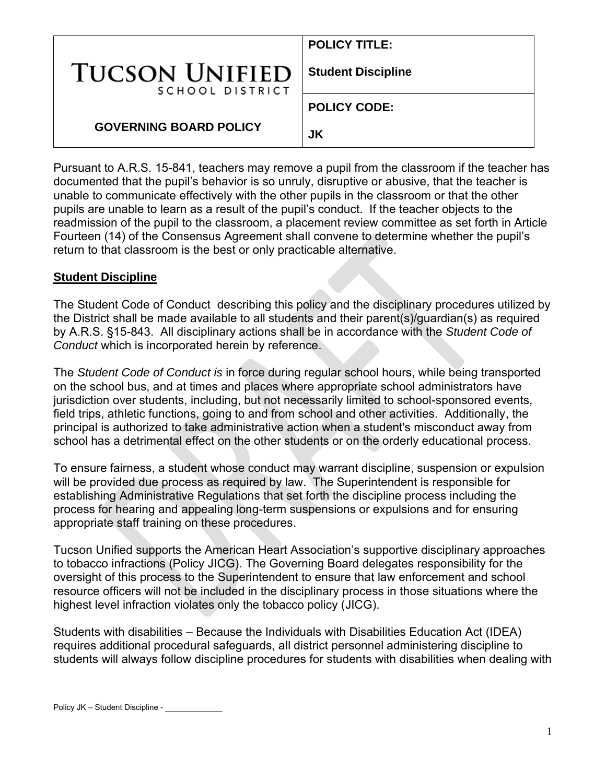|                                          | <b>POLICY TITLE:</b>      |
|------------------------------------------|---------------------------|
| <b>TUCSON UNIFIED</b><br>SCHOOL DISTRICT | <b>Student Discipline</b> |
|                                          | <b>POLICY CODE:</b>       |
| <b>GOVERNING BOARD POLICY</b>            | JK                        |

Pursuant to A.R.S. 15-841, teachers may remove a pupil from the classroom if the teacher has documented that the pupil's behavior is so unruly, disruptive or abusive, that the teacher is unable to communicate effectively with the other pupils in the classroom or that the other pupils are unable to learn as a result of the pupil's conduct. If the teacher objects to the readmission of the pupil to the classroom, a placement review committee as set forth in Article Fourteen (14) of the Consensus Agreement shall convene to determine whether the pupil's return to that classroom is the best or only practicable alternative.

### **Student Discipline**

The Student Code of Conduct describing this policy and the disciplinary procedures utilized by the District shall be made available to all students and their parent(s)/guardian(s) as required by A.R.S. §15-843. All disciplinary actions shall be in accordance with the *Student Code of Conduct* which is incorporated herein by reference.

The *Student Code of Conduct is* in force during regular school hours, while being transported on the school bus, and at times and places where appropriate school administrators have jurisdiction over students, including, but not necessarily limited to school-sponsored events, field trips, athletic functions, going to and from school and other activities. Additionally, the principal is authorized to take administrative action when a student's misconduct away from school has a detrimental effect on the other students or on the orderly educational process.

To ensure fairness, a student whose conduct may warrant discipline, suspension or expulsion will be provided due process as required by law. The Superintendent is responsible for establishing Administrative Regulations that set forth the discipline process including the process for hearing and appealing long-term suspensions or expulsions and for ensuring appropriate staff training on these procedures.

Tucson Unified supports the American Heart Association's supportive disciplinary approaches to tobacco infractions (Policy JICG). The Governing Board delegates responsibility for the oversight of this process to the Superintendent to ensure that law enforcement and school resource officers will not be included in the disciplinary process in those situations where the highest level infraction violates only the tobacco policy (JICG).

Students with disabilities – Because the Individuals with Disabilities Education Act (IDEA) requires additional procedural safeguards, all district personnel administering discipline to students will always follow discipline procedures for students with disabilities when dealing with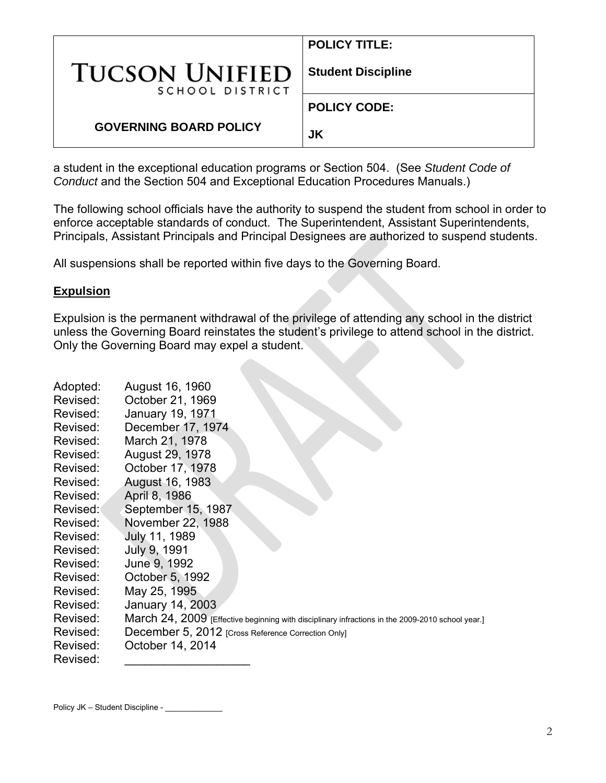|                                          | <b>POLICY TITLE:</b>      |
|------------------------------------------|---------------------------|
| <b>TUCSON UNIFIED</b><br>SCHOOL DISTRICT | <b>Student Discipline</b> |
|                                          | <b>POLICY CODE:</b>       |
| <b>GOVERNING BOARD POLICY</b>            | JK                        |

a student in the exceptional education programs or Section 504. (See *Student Code of Conduct* and the Section 504 and Exceptional Education Procedures Manuals.)

The following school officials have the authority to suspend the student from school in order to enforce acceptable standards of conduct. The Superintendent, Assistant Superintendents, Principals, Assistant Principals and Principal Designees are authorized to suspend students.

All suspensions shall be reported within five days to the Governing Board.

### **Expulsion**

Expulsion is the permanent withdrawal of the privilege of attending any school in the district unless the Governing Board reinstates the student's privilege to attend school in the district. Only the Governing Board may expel a student.

| Adopted: | August 16, 1960                                                                                  |
|----------|--------------------------------------------------------------------------------------------------|
| Revised: | October 21, 1969                                                                                 |
| Revised: | January 19, 1971                                                                                 |
| Revised: | December 17, 1974                                                                                |
| Revised: | March 21, 1978                                                                                   |
| Revised: | August 29, 1978                                                                                  |
| Revised: | October 17, 1978                                                                                 |
| Revised: | August 16, 1983                                                                                  |
| Revised: | April 8, 1986                                                                                    |
| Revised: | September 15, 1987.                                                                              |
| Revised: | November 22, 1988                                                                                |
| Revised: | July 11, 1989                                                                                    |
| Revised: | July 9, 1991                                                                                     |
| Revised: | June 9, 1992                                                                                     |
| Revised: | October 5, 1992                                                                                  |
| Revised: | May 25, 1995                                                                                     |
| Revised: | January 14, 2003                                                                                 |
| Revised: | March 24, 2009 [Effective beginning with disciplinary infractions in the 2009-2010 school year.] |
| Revised: | December 5, 2012 [Cross Reference Correction Only]                                               |
| Revised: | October 14, 2014                                                                                 |
| Revised: |                                                                                                  |